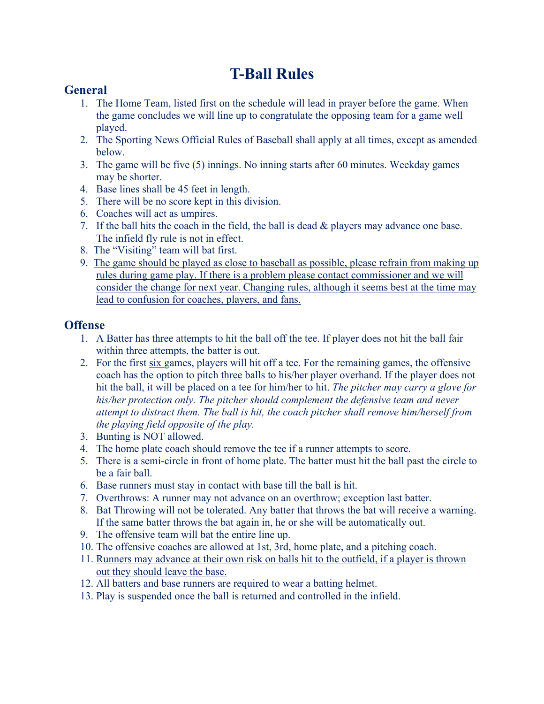# **T-Ball Rules**

#### **General**

- 1. The Home Team, listed first on the schedule will lead in prayer before the game. When the game concludes we will line up to congratulate the opposing team for a game well played.
- 2. The Sporting News Official Rules of Baseball shall apply at all times, except as amended below.
- 3. The game will be five (5) innings. No inning starts after 60 minutes. Weekday games may be shorter.
- 4. Base lines shall be 45 feet in length.
- 5. There will be no score kept in this division.
- 6. Coaches will act as umpires.
- 7. If the ball hits the coach in the field, the ball is dead & players may advance one base. The infield fly rule is not in effect.
- 8. The "Visiting" team will bat first.
- 9. The game should be played as close to baseball as possible, please refrain from making up rules during game play. If there is a problem please contact commissioner and we will consider the change for next year. Changing rules, although it seems best at the time may lead to confusion for coaches, players, and fans.

#### **Offense**

- 1. A Batter has three attempts to hit the ball off the tee. If player does not hit the ball fair within three attempts, the batter is out.
- 2. For the first six games, players will hit off a tee. For the remaining games, the offensive coach has the option to pitch three balls to his/her player overhand. If the player does not hit the ball, it will be placed on a tee for him/her to hit. *The pitcher may carry a glove for his/her protection only. The pitcher should complement the defensive team and never attempt to distract them. The ball is hit, the coach pitcher shall remove him/herself from the playing field opposite of the play.*
- 3. Bunting is NOT allowed.
- 4. The home plate coach should remove the tee if a runner attempts to score.
- 5. There is a semi-circle in front of home plate. The batter must hit the ball past the circle to be a fair ball.
- 6. Base runners must stay in contact with base till the ball is hit.
- 7. Overthrows: A runner may not advance on an overthrow; exception last batter.
- 8. Bat Throwing will not be tolerated. Any batter that throws the bat will receive a warning. If the same batter throws the bat again in, he or she will be automatically out.
- 9. The offensive team will bat the entire line up.
- 10. The offensive coaches are allowed at 1st, 3rd, home plate, and a pitching coach.
- 11. Runners may advance at their own risk on balls hit to the outfield, if a player is thrown out they should leave the base.
- 12. All batters and base runners are required to wear a batting helmet.
- 13. Play is suspended once the ball is returned and controlled in the infield.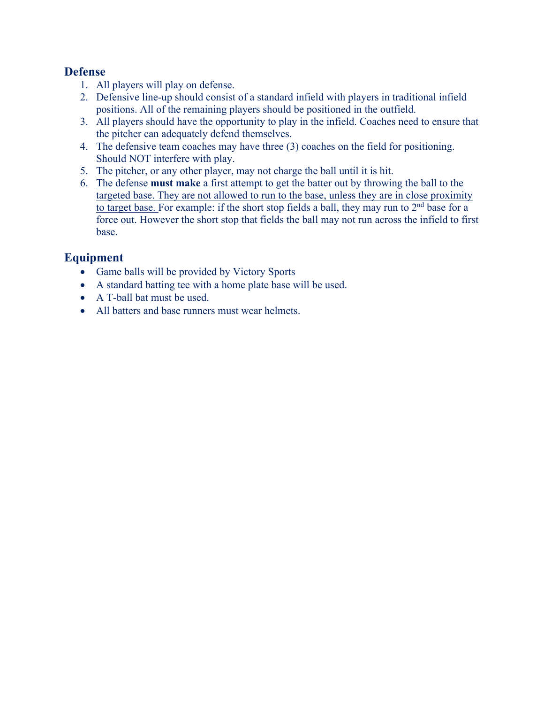#### **Defense**

- 1. All players will play on defense.
- 2. Defensive line-up should consist of a standard infield with players in traditional infield positions. All of the remaining players should be positioned in the outfield.
- 3. All players should have the opportunity to play in the infield. Coaches need to ensure that the pitcher can adequately defend themselves.
- 4. The defensive team coaches may have three (3) coaches on the field for positioning. Should NOT interfere with play.
- 5. The pitcher, or any other player, may not charge the ball until it is hit.
- 6. The defense **must make** a first attempt to get the batter out by throwing the ball to the targeted base. They are not allowed to run to the base, unless they are in close proximity to target base. For example: if the short stop fields a ball, they may run to  $2<sup>nd</sup>$  base for a force out. However the short stop that fields the ball may not run across the infield to first base.

#### **Equipment**

- Game balls will be provided by Victory Sports
- A standard batting tee with a home plate base will be used.
- A T-ball bat must be used.
- All batters and base runners must wear helmets.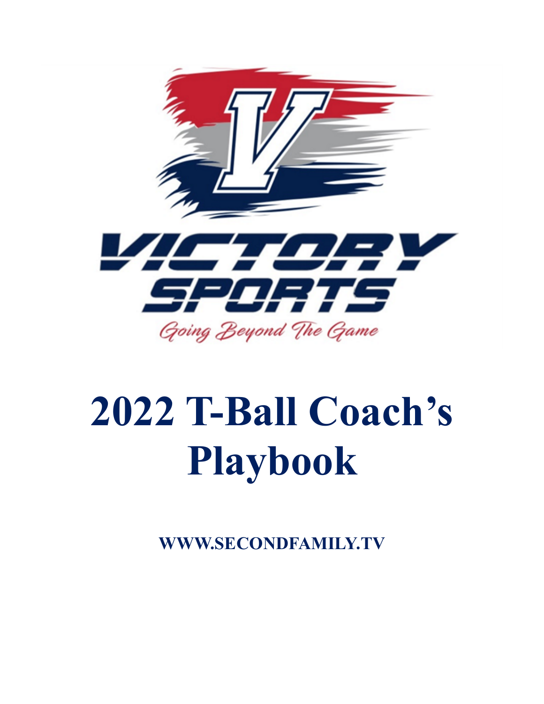

# **2022 T-Ball Coach's Playbook**

**WWW.SECONDFAMILY.TV**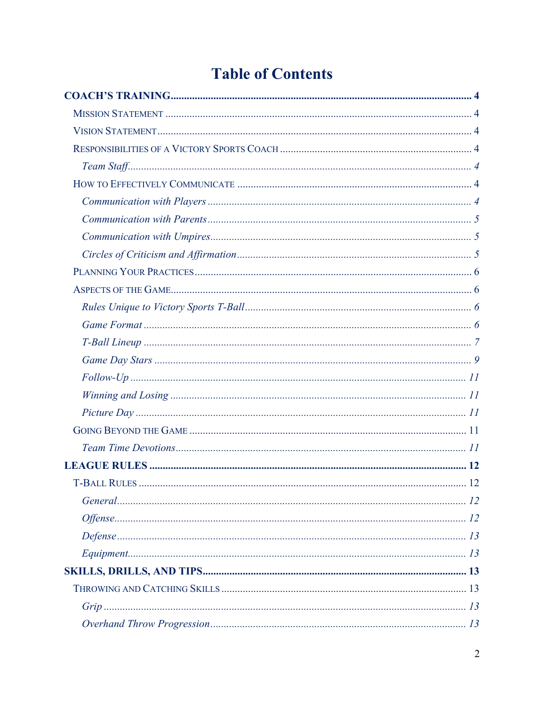# **Table of Contents**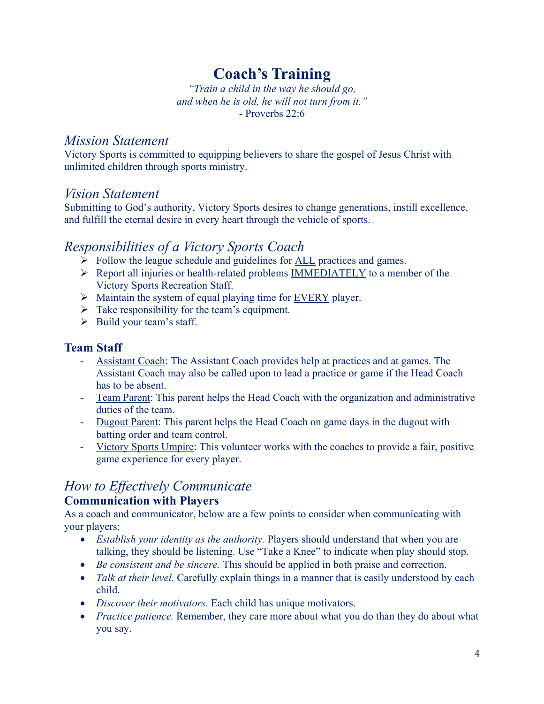# **Coach's Training**

*"Train a child in the way he should go, and when he is old, he will not turn from it."* - Proverbs 22:6

#### *Mission Statement*

Victory Sports is committed to equipping believers to share the gospel of Jesus Christ with unlimited children through sports ministry.

#### *Vision Statement*

Submitting to God's authority, Victory Sports desires to change generations, instill excellence, and fulfill the eternal desire in every heart through the vehicle of sports.

### *Responsibilities of a Victory Sports Coach*

- $\triangleright$  Follow the league schedule and guidelines for <u>ALL</u> practices and games.
- $\triangleright$  Report all injuries or health-related problems **IMMEDIATELY** to a member of the Victory Sports Recreation Staff.
- $\triangleright$  Maintain the system of equal playing time for <u>EVERY</u> player.
- $\triangleright$  Take responsibility for the team's equipment.
- $\triangleright$  Build your team's staff.

#### **Team Staff**

- Assistant Coach: The Assistant Coach provides help at practices and at games. The Assistant Coach may also be called upon to lead a practice or game if the Head Coach has to be absent.
- Team Parent: This parent helps the Head Coach with the organization and administrative duties of the team.
- Dugout Parent: This parent helps the Head Coach on game days in the dugout with batting order and team control.
- Victory Sports Umpire: This volunteer works with the coaches to provide a fair, positive game experience for every player.

#### *How to Effectively Communicate* **Communication with Players**

As a coach and communicator, below are a few points to consider when communicating with your players:

- *Establish your identity as the authority.* Players should understand that when you are talking, they should be listening. Use "Take a Knee" to indicate when play should stop.
- *Be consistent and be sincere.* This should be applied in both praise and correction.
- *Talk at their level.* Carefully explain things in a manner that is easily understood by each child.
- *Discover their motivators.* Each child has unique motivators.
- *Practice patience*. Remember, they care more about what you do than they do about what you say.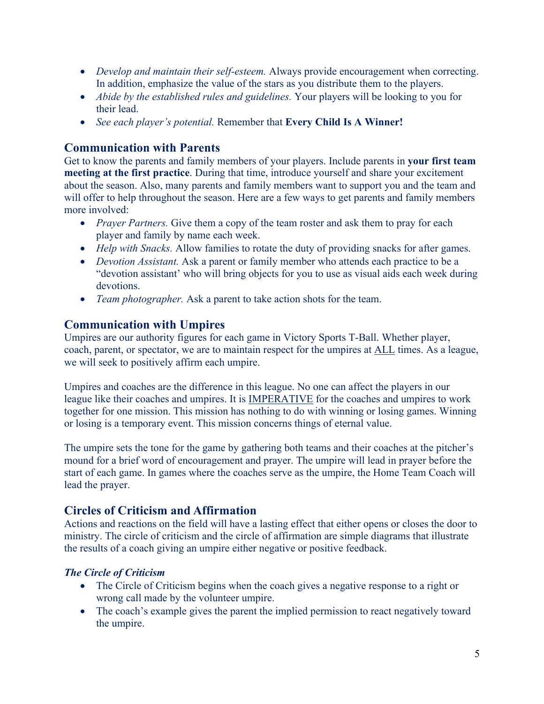- *Develop and maintain their self-esteem.* Always provide encouragement when correcting. In addition, emphasize the value of the stars as you distribute them to the players.
- *Abide by the established rules and guidelines.* Your players will be looking to you for their lead.
- *See each player's potential.* Remember that **Every Child Is A Winner!**

#### **Communication with Parents**

Get to know the parents and family members of your players. Include parents in **your first team meeting at the first practice**. During that time, introduce yourself and share your excitement about the season. Also, many parents and family members want to support you and the team and will offer to help throughout the season. Here are a few ways to get parents and family members more involved:

- *Prayer Partners*. Give them a copy of the team roster and ask them to pray for each player and family by name each week.
- *Help with Snacks.* Allow families to rotate the duty of providing snacks for after games.
- *Devotion Assistant.* Ask a parent or family member who attends each practice to be a "devotion assistant' who will bring objects for you to use as visual aids each week during devotions.
- *Team photographer.* Ask a parent to take action shots for the team.

#### **Communication with Umpires**

Umpires are our authority figures for each game in Victory Sports T-Ball. Whether player, coach, parent, or spectator, we are to maintain respect for the umpires at ALL times. As a league, we will seek to positively affirm each umpire.

Umpires and coaches are the difference in this league. No one can affect the players in our league like their coaches and umpires. It is IMPERATIVE for the coaches and umpires to work together for one mission. This mission has nothing to do with winning or losing games. Winning or losing is a temporary event. This mission concerns things of eternal value.

The umpire sets the tone for the game by gathering both teams and their coaches at the pitcher's mound for a brief word of encouragement and prayer. The umpire will lead in prayer before the start of each game. In games where the coaches serve as the umpire, the Home Team Coach will lead the prayer.

#### **Circles of Criticism and Affirmation**

Actions and reactions on the field will have a lasting effect that either opens or closes the door to ministry. The circle of criticism and the circle of affirmation are simple diagrams that illustrate the results of a coach giving an umpire either negative or positive feedback.

#### *The Circle of Criticism*

- The Circle of Criticism begins when the coach gives a negative response to a right or wrong call made by the volunteer umpire.
- The coach's example gives the parent the implied permission to react negatively toward the umpire.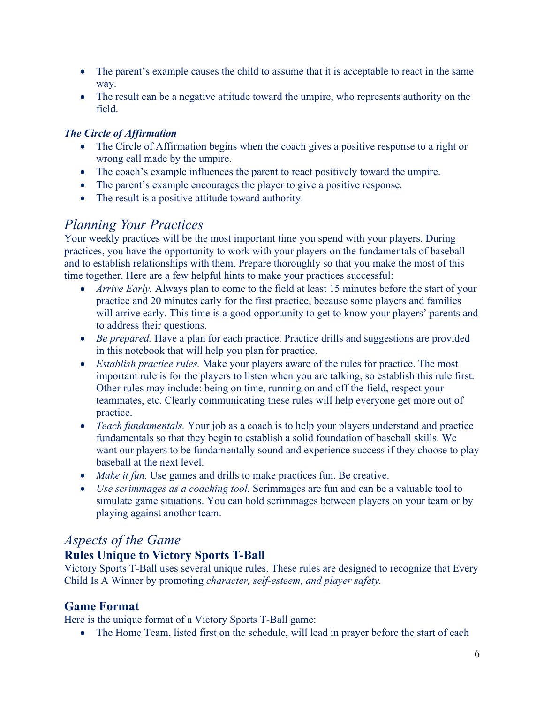- The parent's example causes the child to assume that it is acceptable to react in the same way.
- The result can be a negative attitude toward the umpire, who represents authority on the field.

#### *The Circle of Affirmation*

- The Circle of Affirmation begins when the coach gives a positive response to a right or wrong call made by the umpire.
- The coach's example influences the parent to react positively toward the umpire.
- The parent's example encourages the player to give a positive response.
- The result is a positive attitude toward authority.

# *Planning Your Practices*

Your weekly practices will be the most important time you spend with your players. During practices, you have the opportunity to work with your players on the fundamentals of baseball and to establish relationships with them. Prepare thoroughly so that you make the most of this time together. Here are a few helpful hints to make your practices successful:

- *Arrive Early.* Always plan to come to the field at least 15 minutes before the start of your practice and 20 minutes early for the first practice, because some players and families will arrive early. This time is a good opportunity to get to know your players' parents and to address their questions.
- *Be prepared.* Have a plan for each practice. Practice drills and suggestions are provided in this notebook that will help you plan for practice.
- *Establish practice rules.* Make your players aware of the rules for practice. The most important rule is for the players to listen when you are talking, so establish this rule first. Other rules may include: being on time, running on and off the field, respect your teammates, etc. Clearly communicating these rules will help everyone get more out of practice.
- *Teach fundamentals.* Your job as a coach is to help your players understand and practice fundamentals so that they begin to establish a solid foundation of baseball skills. We want our players to be fundamentally sound and experience success if they choose to play baseball at the next level.
- *Make it fun.* Use games and drills to make practices fun. Be creative.
- *Use scrimmages as a coaching tool.* Scrimmages are fun and can be a valuable tool to simulate game situations. You can hold scrimmages between players on your team or by playing against another team.

### *Aspects of the Game*

#### **Rules Unique to Victory Sports T-Ball**

Victory Sports T-Ball uses several unique rules. These rules are designed to recognize that Every Child Is A Winner by promoting *character, self-esteem, and player safety.*

#### **Game Format**

Here is the unique format of a Victory Sports T-Ball game:

• The Home Team, listed first on the schedule, will lead in prayer before the start of each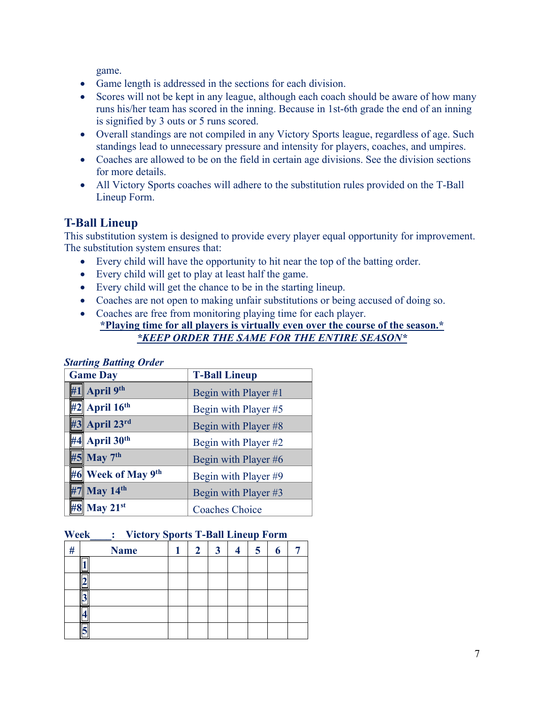game.

- Game length is addressed in the sections for each division.
- Scores will not be kept in any league, although each coach should be aware of how many runs his/her team has scored in the inning. Because in 1st-6th grade the end of an inning is signified by 3 outs or 5 runs scored.
- Overall standings are not compiled in any Victory Sports league, regardless of age. Such standings lead to unnecessary pressure and intensity for players, coaches, and umpires.
- Coaches are allowed to be on the field in certain age divisions. See the division sections for more details.
- All Victory Sports coaches will adhere to the substitution rules provided on the T-Ball Lineup Form.

#### **T-Ball Lineup**

This substitution system is designed to provide every player equal opportunity for improvement. The substitution system ensures that:

- Every child will have the opportunity to hit near the top of the batting order.
- Every child will get to play at least half the game.
- Every child will get the chance to be in the starting lineup.
- Coaches are not open to making unfair substitutions or being accused of doing so.
- Coaches are free from monitoring playing time for each player. **\*Playing time for all players is virtually even over the course of the season.\*** *\*KEEP ORDER THE SAME FOR THE ENTIRE SEASON\**

| Suirung Duumg Oruer           |                       |  |  |  |  |  |  |
|-------------------------------|-----------------------|--|--|--|--|--|--|
| <b>Game Day</b>               | <b>T-Ball Lineup</b>  |  |  |  |  |  |  |
| #1 April $9th$                | Begin with Player #1  |  |  |  |  |  |  |
| $  42$ April 16 <sup>th</sup> | Begin with Player #5  |  |  |  |  |  |  |
| #3 April 23rd                 | Begin with Player #8  |  |  |  |  |  |  |
| $#4$ April 30 <sup>th</sup>   | Begin with Player #2  |  |  |  |  |  |  |
| #5 May 7th                    | Begin with Player #6  |  |  |  |  |  |  |
| #6 Week of May 9th            | Begin with Player #9  |  |  |  |  |  |  |
| $#7$ May 14 <sup>th</sup>     | Begin with Player #3  |  |  |  |  |  |  |
| #8 May 21st                   | <b>Coaches Choice</b> |  |  |  |  |  |  |

#### *Starting Batting Order*

#### **Week\_\_\_\_: Victory Sports T-Ball Lineup Form**

|   |             |   |   | - |  |
|---|-------------|---|---|---|--|
| # | <b>Name</b> | 2 | 3 | 5 |  |
|   |             |   |   |   |  |
|   |             |   |   |   |  |
|   |             |   |   |   |  |
|   |             |   |   |   |  |
|   |             |   |   |   |  |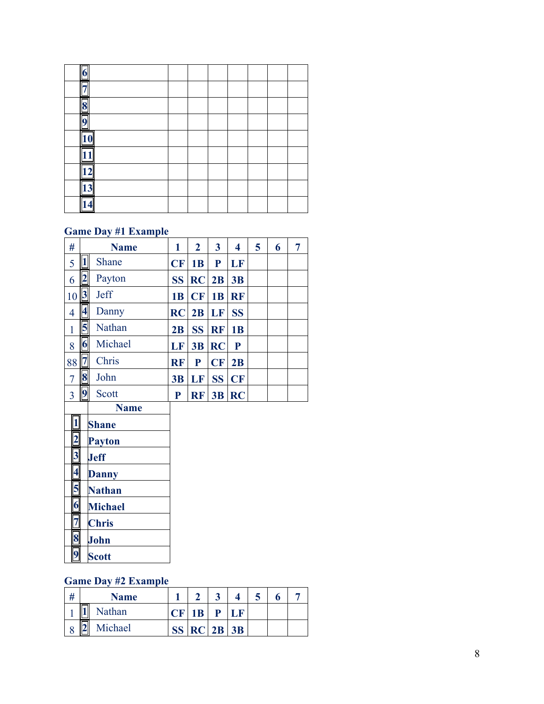#### **Game Day #1 Example**

| #              |    | <b>Name</b>  | 1         | $\mathbf{2}$ | 3         | 4         | 5 | 6 | 7 |
|----------------|----|--------------|-----------|--------------|-----------|-----------|---|---|---|
| 5              |    | <b>Shane</b> | CF        | 1B           | P         | LF        |   |   |   |
| 6              |    | Payton       | <b>SS</b> | $RC$   2B    |           | 3B        |   |   |   |
| 10 3           |    | <b>Jeff</b>  | <b>1B</b> | CF           | 1B        | <b>RF</b> |   |   |   |
| 4              | 14 | Danny        | RC        | 2B           | LF        | <b>SS</b> |   |   |   |
| 1              |    | Nathan       | 2B        | <b>SS</b>    | <b>RF</b> | 1B        |   |   |   |
| 8              | 16 | Michael      | LF        | 3B           | <b>RC</b> | ${\bf P}$ |   |   |   |
| 88             |    | Chris        | <b>RF</b> | P            | CF        | 2B        |   |   |   |
| $\tau$         | 8  | John         | 3B        | LF           | <b>SS</b> | CF        |   |   |   |
| $\overline{3}$ |    | Scott        | P         | <b>RF</b>    | 3B        | RC        |   |   |   |

- **Name**
- 
- **Payton**
- **Jeff**
- **Danny**
- **Nathan**
- 1 **Shane**<br>
2 Payton<br>
3 Jeff<br>
4 Danny<br>
5 Nathan<br>
6 Michae<br>
7 Chris **Michael**
- 
- **Chris**
- **John**
- **Scott**

#### **Game Day #2 Example**

| # | <b>Name</b>   |    |            | Q |  |
|---|---------------|----|------------|---|--|
|   | I<br>Nathan   | B. | P          |   |  |
| O | Michael<br>II |    | $RC$ 2B 3B |   |  |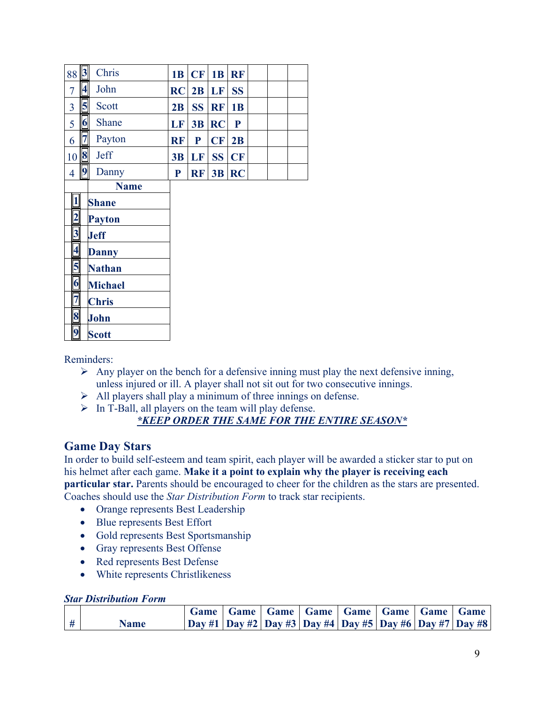| 88                      |                 | Chris          | 1B        | CF        | 1B        | <b>RF</b>   |  |  |
|-------------------------|-----------------|----------------|-----------|-----------|-----------|-------------|--|--|
| $\overline{7}$          | $\vert 4$       | John           | RC        | 2B        | LF        | <b>SS</b>   |  |  |
| 3                       | $\mathbf{5}$    | Scott          | 2B        | <b>SS</b> | <b>RF</b> | 1B          |  |  |
| 5                       | $\vert 6 \vert$ | Shane          | <b>LF</b> |           | $3B$ RC   | $\mathbf P$ |  |  |
| 6                       | 7               | Payton         | <b>RF</b> | P         | CF        | 2B          |  |  |
| 10                      | 8               | <b>Jeff</b>    | 3B        | LF        | <b>SS</b> | <b>CF</b>   |  |  |
| $\overline{4}$          | 9               | Danny          | ${\bf P}$ | RF        | 3B        | <b>RC</b>   |  |  |
|                         |                 | <b>Name</b>    |           |           |           |             |  |  |
|                         |                 | <b>Shane</b>   |           |           |           |             |  |  |
|                         |                 |                |           |           |           |             |  |  |
| $\overline{2}$          |                 | <b>Payton</b>  |           |           |           |             |  |  |
| $\overline{\mathbf{3}}$ |                 | <b>Jeff</b>    |           |           |           |             |  |  |
| $\overline{\mathbf{4}}$ |                 | <b>Danny</b>   |           |           |           |             |  |  |
| 5                       |                 | <b>Nathan</b>  |           |           |           |             |  |  |
| $\boldsymbol{6}$        |                 | <b>Michael</b> |           |           |           |             |  |  |
| $\overline{7}$          |                 | <b>Chris</b>   |           |           |           |             |  |  |
| 8                       |                 | John           |           |           |           |             |  |  |
| 9 <sub>l</sub>          |                 | <b>Scott</b>   |           |           |           |             |  |  |

Reminders:

- $\triangleright$  Any player on the bench for a defensive inning must play the next defensive inning, unless injured or ill. A player shall not sit out for two consecutive innings.
- $\triangleright$  All players shall play a minimum of three innings on defense.
- $\triangleright$  In T-Ball, all players on the team will play defense. *\*KEEP ORDER THE SAME FOR THE ENTIRE SEASON\**

#### **Game Day Stars**

In order to build self-esteem and team spirit, each player will be awarded a sticker star to put on his helmet after each game. **Make it a point to explain why the player is receiving each particular star.** Parents should be encouraged to cheer for the children as the stars are presented. Coaches should use the *Star Distribution Form* to track star recipients.

- Orange represents Best Leadership
- Blue represents Best Effort
- Gold represents Best Sportsmanship
- Gray represents Best Offense
- Red represents Best Defense
- White represents Christlikeness

#### *Star Distribution Form*

|   |             |  | Game   Game   Game   Game   Game   Game   Game   Game |  |  |                                                                       |
|---|-------------|--|-------------------------------------------------------|--|--|-----------------------------------------------------------------------|
| # | <b>Name</b> |  |                                                       |  |  | Day #1   Day #2   Day #3   Day #4   Day #5   Day #6   Day #7   Day #8 |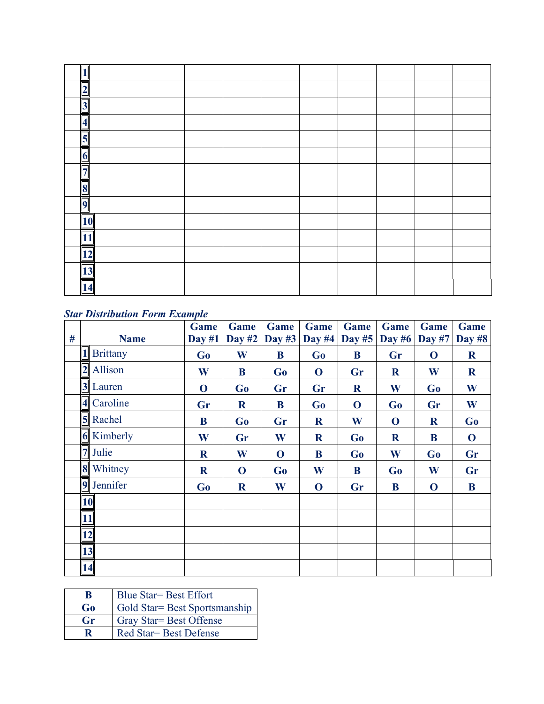| ıг                                    |  |  |  |  |
|---------------------------------------|--|--|--|--|
| ٦<br>۳                                |  |  |  |  |
| $\overline{\mathbf{3}}$               |  |  |  |  |
| $\overline{\mathbf{A}}$               |  |  |  |  |
| $\overline{\mathbf{5}}$               |  |  |  |  |
| $\vert 6 \vert$                       |  |  |  |  |
|                                       |  |  |  |  |
| $\begin{array}{c} 7 \\ 8 \end{array}$ |  |  |  |  |
| $\overline{9}$                        |  |  |  |  |
| 10                                    |  |  |  |  |
| <u>11</u>                             |  |  |  |  |
| $\overline{12}$                       |  |  |  |  |
| 13                                    |  |  |  |  |
| 14                                    |  |  |  |  |

#### *Star Distribution Form Example*

|   |                                | Game        | Game        | Game           | Game        | Game          | Game           | Game          | Game          |
|---|--------------------------------|-------------|-------------|----------------|-------------|---------------|----------------|---------------|---------------|
| # | <b>Name</b><br><b>Brittany</b> | Day $#1$    | Day $#2$    | Day $#3$       | Day #4      | <b>Day #5</b> | Day $#6$       | <b>Day #7</b> | <b>Day #8</b> |
|   |                                | <b>Go</b>   | W           | B              | Go          | B             | Gr             | $\mathbf 0$   | $\mathbf R$   |
|   | $2$ Allison                    | W           | B           | G <sub>0</sub> | $\bf{O}$    | Gr            | $\mathbf R$    | W             | $\mathbf R$   |
|   | 3 Lauren                       | $\mathbf 0$ | Go          | Gr             | Gr          | $\mathbf R$   | W              | Go            | W             |
|   | 4 Caroline                     | Gr          | $\mathbf R$ | B              | Go          | $\mathbf 0$   | Go             | Gr            | W             |
|   | 5 Rachel                       | B           | Go          | Gr             | $\mathbf R$ | W             | $\bf{0}$       | $\mathbf R$   | Go            |
|   | <b>6</b> Kimberly              | W           | Gr          | W              | $\mathbf R$ | Go            | $\mathbf R$    | B             | $\mathbf 0$   |
|   | 7 Julie                        | $\mathbf R$ | W           | $\mathbf 0$    | B           | Go            | W              | Go            | Gr            |
|   | 8 Whitney                      | $\mathbf R$ | $\mathbf 0$ | G <sub>o</sub> | W           | B             | G <sub>0</sub> | W             | Gr            |
|   | 9 Jennifer                     | Go          | $\mathbf R$ | W              | $\mathbf 0$ | Gr            | B              | $\bf{O}$      | B             |
|   | 10                             |             |             |                |             |               |                |               |               |
|   | 11                             |             |             |                |             |               |                |               |               |
|   | 12                             |             |             |                |             |               |                |               |               |
|   | 13                             |             |             |                |             |               |                |               |               |
|   | 14                             |             |             |                |             |               |                |               |               |

| R       | <b>Blue Star = Best Effort</b> |
|---------|--------------------------------|
| Go      | Gold Star= Best Sportsmanship  |
| $G_{r}$ | Gray Star = Best Offense       |
|         | Red Star = Best Defense        |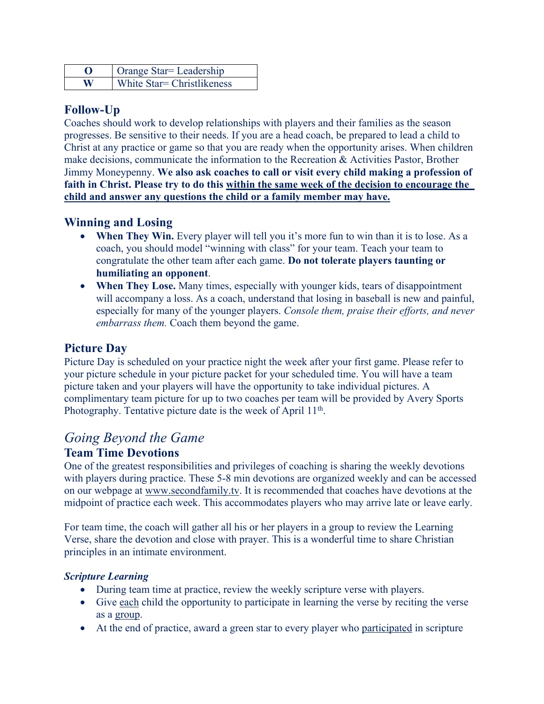|   | Orange Star = Leadership    |
|---|-----------------------------|
| W | White Star = Christlikeness |

#### **Follow-Up**

Coaches should work to develop relationships with players and their families as the season progresses. Be sensitive to their needs. If you are a head coach, be prepared to lead a child to Christ at any practice or game so that you are ready when the opportunity arises. When children make decisions, communicate the information to the Recreation & Activities Pastor, Brother Jimmy Moneypenny. **We also ask coaches to call or visit every child making a profession of faith in Christ. Please try to do this within the same week of the decision to encourage the child and answer any questions the child or a family member may have.**

#### **Winning and Losing**

- When They Win. Every player will tell you it's more fun to win than it is to lose. As a coach, you should model "winning with class" for your team. Teach your team to congratulate the other team after each game. **Do not tolerate players taunting or humiliating an opponent**.
- **When They Lose.** Many times, especially with younger kids, tears of disappointment will accompany a loss. As a coach, understand that losing in baseball is new and painful, especially for many of the younger players. *Console them, praise their efforts, and never embarrass them.* Coach them beyond the game.

#### **Picture Day**

Picture Day is scheduled on your practice night the week after your first game. Please refer to your picture schedule in your picture packet for your scheduled time. You will have a team picture taken and your players will have the opportunity to take individual pictures. A complimentary team picture for up to two coaches per team will be provided by Avery Sports Photography. Tentative picture date is the week of April 11<sup>th</sup>.

# *Going Beyond the Game*

#### **Team Time Devotions**

One of the greatest responsibilities and privileges of coaching is sharing the weekly devotions with players during practice. These 5-8 min devotions are organized weekly and can be accessed on our webpage at www.secondfamily.tv. It is recommended that coaches have devotions at the midpoint of practice each week. This accommodates players who may arrive late or leave early.

For team time, the coach will gather all his or her players in a group to review the Learning Verse, share the devotion and close with prayer. This is a wonderful time to share Christian principles in an intimate environment.

#### *Scripture Learning*

- During team time at practice, review the weekly scripture verse with players.
- Give each child the opportunity to participate in learning the verse by reciting the verse as a group.
- At the end of practice, award a green star to every player who participated in scripture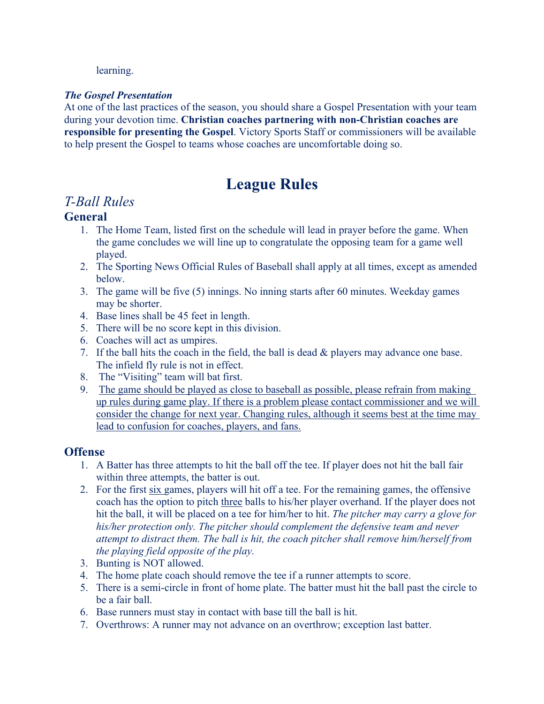learning.

#### *The Gospel Presentation*

At one of the last practices of the season, you should share a Gospel Presentation with your team during your devotion time. **Christian coaches partnering with non-Christian coaches are responsible for presenting the Gospel**. Victory Sports Staff or commissioners will be available to help present the Gospel to teams whose coaches are uncomfortable doing so.

# **League Rules**

### *T-Ball Rules*

#### **General**

- 1. The Home Team, listed first on the schedule will lead in prayer before the game. When the game concludes we will line up to congratulate the opposing team for a game well played.
- 2. The Sporting News Official Rules of Baseball shall apply at all times, except as amended below.
- 3. The game will be five (5) innings. No inning starts after 60 minutes. Weekday games may be shorter.
- 4. Base lines shall be 45 feet in length.
- 5. There will be no score kept in this division.
- 6. Coaches will act as umpires.
- 7. If the ball hits the coach in the field, the ball is dead  $\&$  players may advance one base. The infield fly rule is not in effect.
- 8. The "Visiting" team will bat first.
- 9. The game should be played as close to baseball as possible, please refrain from making up rules during game play. If there is a problem please contact commissioner and we will consider the change for next year. Changing rules, although it seems best at the time may lead to confusion for coaches, players, and fans.

#### **Offense**

- 1. A Batter has three attempts to hit the ball off the tee. If player does not hit the ball fair within three attempts, the batter is out.
- 2. For the first six games, players will hit off a tee. For the remaining games, the offensive coach has the option to pitch three balls to his/her player overhand. If the player does not hit the ball, it will be placed on a tee for him/her to hit. *The pitcher may carry a glove for his/her protection only. The pitcher should complement the defensive team and never attempt to distract them. The ball is hit, the coach pitcher shall remove him/herself from the playing field opposite of the play.*
- 3. Bunting is NOT allowed.
- 4. The home plate coach should remove the tee if a runner attempts to score.
- 5. There is a semi-circle in front of home plate. The batter must hit the ball past the circle to be a fair ball.
- 6. Base runners must stay in contact with base till the ball is hit.
- 7. Overthrows: A runner may not advance on an overthrow; exception last batter.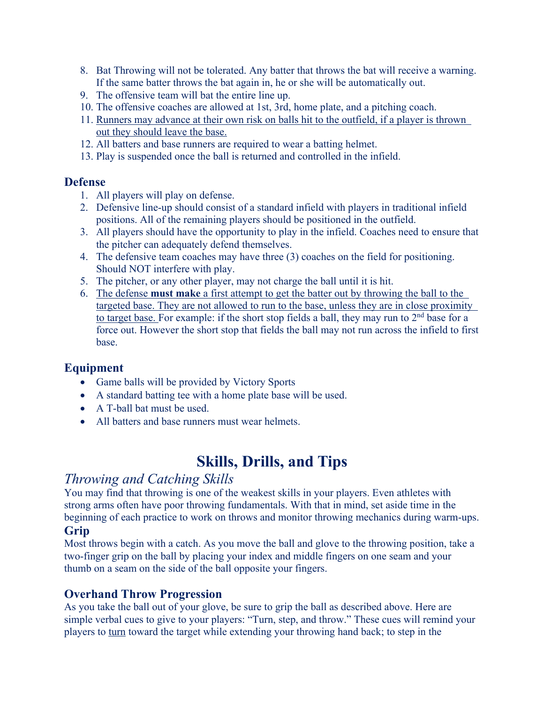- 8. Bat Throwing will not be tolerated. Any batter that throws the bat will receive a warning. If the same batter throws the bat again in, he or she will be automatically out.
- 9. The offensive team will bat the entire line up.
- 10. The offensive coaches are allowed at 1st, 3rd, home plate, and a pitching coach.
- 11. Runners may advance at their own risk on balls hit to the outfield, if a player is thrown out they should leave the base.
- 12. All batters and base runners are required to wear a batting helmet.
- 13. Play is suspended once the ball is returned and controlled in the infield.

#### **Defense**

- 1. All players will play on defense.
- 2. Defensive line-up should consist of a standard infield with players in traditional infield positions. All of the remaining players should be positioned in the outfield.
- 3. All players should have the opportunity to play in the infield. Coaches need to ensure that the pitcher can adequately defend themselves.
- 4. The defensive team coaches may have three (3) coaches on the field for positioning. Should NOT interfere with play.
- 5. The pitcher, or any other player, may not charge the ball until it is hit.
- 6. The defense **must make** a first attempt to get the batter out by throwing the ball to the targeted base. They are not allowed to run to the base, unless they are in close proximity to target base. For example: if the short stop fields a ball, they may run to 2<sup>nd</sup> base for a force out. However the short stop that fields the ball may not run across the infield to first base.

#### **Equipment**

- Game balls will be provided by Victory Sports
- A standard batting tee with a home plate base will be used.
- A T-ball bat must be used.
- All batters and base runners must wear helmets.

# **Skills, Drills, and Tips**

### *Throwing and Catching Skills*

You may find that throwing is one of the weakest skills in your players. Even athletes with strong arms often have poor throwing fundamentals. With that in mind, set aside time in the beginning of each practice to work on throws and monitor throwing mechanics during warm-ups. **Grip**

Most throws begin with a catch. As you move the ball and glove to the throwing position, take a two-finger grip on the ball by placing your index and middle fingers on one seam and your thumb on a seam on the side of the ball opposite your fingers.

#### **Overhand Throw Progression**

As you take the ball out of your glove, be sure to grip the ball as described above. Here are simple verbal cues to give to your players: "Turn, step, and throw." These cues will remind your players to turn toward the target while extending your throwing hand back; to step in the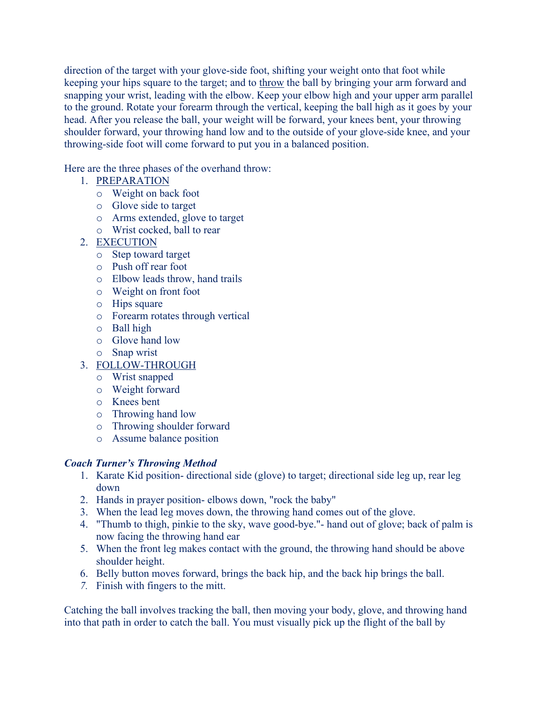direction of the target with your glove-side foot, shifting your weight onto that foot while keeping your hips square to the target; and to throw the ball by bringing your arm forward and snapping your wrist, leading with the elbow. Keep your elbow high and your upper arm parallel to the ground. Rotate your forearm through the vertical, keeping the ball high as it goes by your head. After you release the ball, your weight will be forward, your knees bent, your throwing shoulder forward, your throwing hand low and to the outside of your glove-side knee, and your throwing-side foot will come forward to put you in a balanced position.

Here are the three phases of the overhand throw:

- 1. PREPARATION
	- o Weight on back foot
	- o Glove side to target
	- o Arms extended, glove to target
	- o Wrist cocked, ball to rear
- 2. EXECUTION
	- o Step toward target
	- o Push off rear foot
	- o Elbow leads throw, hand trails
	- o Weight on front foot
	- o Hips square
	- o Forearm rotates through vertical
	- o Ball high
	- o Glove hand low
	- o Snap wrist
- 3. FOLLOW-THROUGH
	- o Wrist snapped
	- o Weight forward
	- o Knees bent
	- o Throwing hand low
	- o Throwing shoulder forward
	- o Assume balance position

#### *Coach Turner's Throwing Method*

- 1. Karate Kid position- directional side (glove) to target; directional side leg up, rear leg down
- 2. Hands in prayer position- elbows down, "rock the baby"
- 3. When the lead leg moves down, the throwing hand comes out of the glove.
- 4. "Thumb to thigh, pinkie to the sky, wave good-bye."- hand out of glove; back of palm is now facing the throwing hand ear
- 5. When the front leg makes contact with the ground, the throwing hand should be above shoulder height.
- 6. Belly button moves forward, brings the back hip, and the back hip brings the ball.
- *7.* Finish with fingers to the mitt.

Catching the ball involves tracking the ball, then moving your body, glove, and throwing hand into that path in order to catch the ball. You must visually pick up the flight of the ball by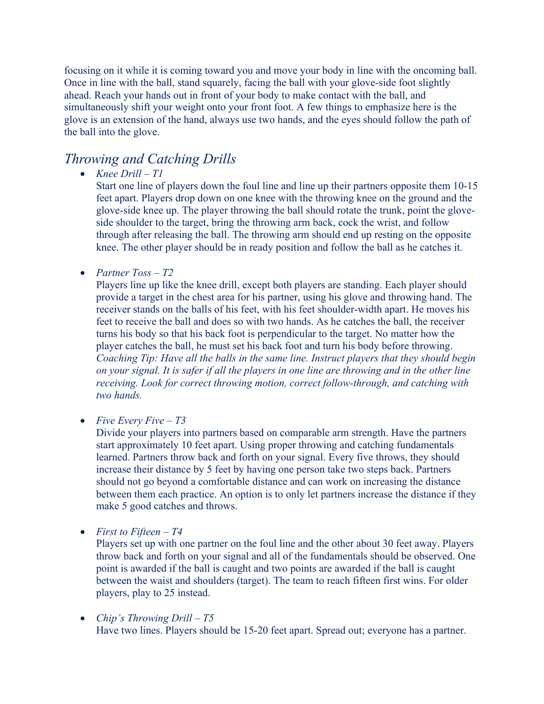focusing on it while it is coming toward you and move your body in line with the oncoming ball. Once in line with the ball, stand squarely, facing the ball with your glove-side foot slightly ahead. Reach your hands out in front of your body to make contact with the ball, and simultaneously shift your weight onto your front foot. A few things to emphasize here is the glove is an extension of the hand, always use two hands, and the eyes should follow the path of the ball into the glove.

#### *Throwing and Catching Drills*

• *Knee Drill – T1*

Start one line of players down the foul line and line up their partners opposite them 10-15 feet apart. Players drop down on one knee with the throwing knee on the ground and the glove-side knee up. The player throwing the ball should rotate the trunk, point the gloveside shoulder to the target, bring the throwing arm back, cock the wrist, and follow through after releasing the ball. The throwing arm should end up resting on the opposite knee. The other player should be in ready position and follow the ball as he catches it.

• *Partner Toss – T2*

Players line up like the knee drill, except both players are standing. Each player should provide a target in the chest area for his partner, using his glove and throwing hand. The receiver stands on the balls of his feet, with his feet shoulder-width apart. He moves his feet to receive the ball and does so with two hands. As he catches the ball, the receiver turns his body so that his back foot is perpendicular to the target. No matter how the player catches the ball, he must set his back foot and turn his body before throwing. *Coaching Tip: Have all the balls in the same line. Instruct players that they should begin on your signal. It is safer if all the players in one line are throwing and in the other line receiving. Look for correct throwing motion, correct follow-through, and catching with two hands.*

• *Five Every Five – T3*

Divide your players into partners based on comparable arm strength. Have the partners start approximately 10 feet apart. Using proper throwing and catching fundamentals learned. Partners throw back and forth on your signal. Every five throws, they should increase their distance by 5 feet by having one person take two steps back. Partners should not go beyond a comfortable distance and can work on increasing the distance between them each practice. An option is to only let partners increase the distance if they make 5 good catches and throws.

• *First to Fifteen – T4*

Players set up with one partner on the foul line and the other about 30 feet away. Players throw back and forth on your signal and all of the fundamentals should be observed. One point is awarded if the ball is caught and two points are awarded if the ball is caught between the waist and shoulders (target). The team to reach fifteen first wins. For older players, play to 25 instead.

• *Chip's Throwing Drill – T5* Have two lines. Players should be 15-20 feet apart. Spread out; everyone has a partner.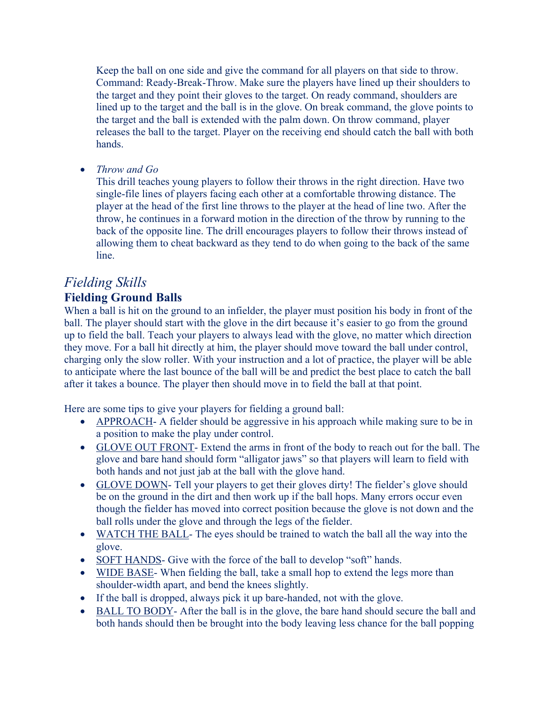Keep the ball on one side and give the command for all players on that side to throw. Command: Ready-Break-Throw. Make sure the players have lined up their shoulders to the target and they point their gloves to the target. On ready command, shoulders are lined up to the target and the ball is in the glove. On break command, the glove points to the target and the ball is extended with the palm down. On throw command, player releases the ball to the target. Player on the receiving end should catch the ball with both hands.

• *Throw and Go*

This drill teaches young players to follow their throws in the right direction. Have two single-file lines of players facing each other at a comfortable throwing distance. The player at the head of the first line throws to the player at the head of line two. After the throw, he continues in a forward motion in the direction of the throw by running to the back of the opposite line. The drill encourages players to follow their throws instead of allowing them to cheat backward as they tend to do when going to the back of the same line.

# *Fielding Skills*

#### **Fielding Ground Balls**

When a ball is hit on the ground to an infielder, the player must position his body in front of the ball. The player should start with the glove in the dirt because it's easier to go from the ground up to field the ball. Teach your players to always lead with the glove, no matter which direction they move. For a ball hit directly at him, the player should move toward the ball under control, charging only the slow roller. With your instruction and a lot of practice, the player will be able to anticipate where the last bounce of the ball will be and predict the best place to catch the ball after it takes a bounce. The player then should move in to field the ball at that point.

Here are some tips to give your players for fielding a ground ball:

- APPROACH- A fielder should be aggressive in his approach while making sure to be in a position to make the play under control.
- GLOVE OUT FRONT- Extend the arms in front of the body to reach out for the ball. The glove and bare hand should form "alligator jaws" so that players will learn to field with both hands and not just jab at the ball with the glove hand.
- GLOVE DOWN- Tell your players to get their gloves dirty! The fielder's glove should be on the ground in the dirt and then work up if the ball hops. Many errors occur even though the fielder has moved into correct position because the glove is not down and the ball rolls under the glove and through the legs of the fielder.
- WATCH THE BALL-The eyes should be trained to watch the ball all the way into the glove.
- SOFT HANDS- Give with the force of the ball to develop "soft" hands.
- WIDE BASE- When fielding the ball, take a small hop to extend the legs more than shoulder-width apart, and bend the knees slightly.
- If the ball is dropped, always pick it up bare-handed, not with the glove.
- BALL TO BODY- After the ball is in the glove, the bare hand should secure the ball and both hands should then be brought into the body leaving less chance for the ball popping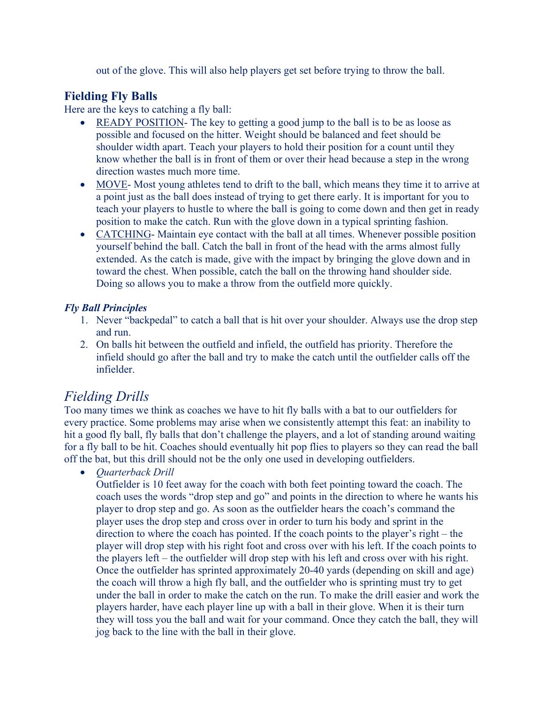out of the glove. This will also help players get set before trying to throw the ball.

#### **Fielding Fly Balls**

Here are the keys to catching a fly ball:

- READY POSITION- The key to getting a good jump to the ball is to be as loose as possible and focused on the hitter. Weight should be balanced and feet should be shoulder width apart. Teach your players to hold their position for a count until they know whether the ball is in front of them or over their head because a step in the wrong direction wastes much more time.
- MOVE- Most young athletes tend to drift to the ball, which means they time it to arrive at a point just as the ball does instead of trying to get there early. It is important for you to teach your players to hustle to where the ball is going to come down and then get in ready position to make the catch. Run with the glove down in a typical sprinting fashion.
- CATCHING- Maintain eye contact with the ball at all times. Whenever possible position yourself behind the ball. Catch the ball in front of the head with the arms almost fully extended. As the catch is made, give with the impact by bringing the glove down and in toward the chest. When possible, catch the ball on the throwing hand shoulder side. Doing so allows you to make a throw from the outfield more quickly.

#### *Fly Ball Principles*

- 1. Never "backpedal" to catch a ball that is hit over your shoulder. Always use the drop step and run.
- 2. On balls hit between the outfield and infield, the outfield has priority. Therefore the infield should go after the ball and try to make the catch until the outfielder calls off the infielder.

# *Fielding Drills*

Too many times we think as coaches we have to hit fly balls with a bat to our outfielders for every practice. Some problems may arise when we consistently attempt this feat: an inability to hit a good fly ball, fly balls that don't challenge the players, and a lot of standing around waiting for a fly ball to be hit. Coaches should eventually hit pop flies to players so they can read the ball off the bat, but this drill should not be the only one used in developing outfielders.

• *Quarterback Drill*

Outfielder is 10 feet away for the coach with both feet pointing toward the coach. The coach uses the words "drop step and go" and points in the direction to where he wants his player to drop step and go. As soon as the outfielder hears the coach's command the player uses the drop step and cross over in order to turn his body and sprint in the direction to where the coach has pointed. If the coach points to the player's right – the player will drop step with his right foot and cross over with his left. If the coach points to the players left – the outfielder will drop step with his left and cross over with his right. Once the outfielder has sprinted approximately 20-40 yards (depending on skill and age) the coach will throw a high fly ball, and the outfielder who is sprinting must try to get under the ball in order to make the catch on the run. To make the drill easier and work the players harder, have each player line up with a ball in their glove. When it is their turn they will toss you the ball and wait for your command. Once they catch the ball, they will jog back to the line with the ball in their glove.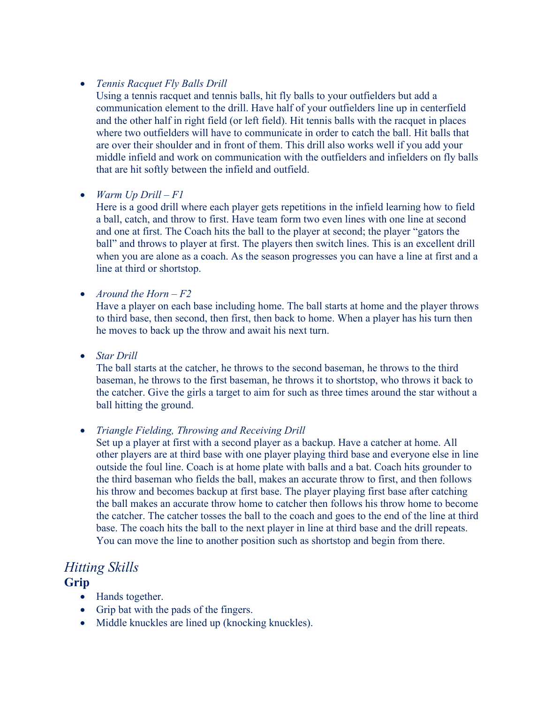#### • *Tennis Racquet Fly Balls Drill*

Using a tennis racquet and tennis balls, hit fly balls to your outfielders but add a communication element to the drill. Have half of your outfielders line up in centerfield and the other half in right field (or left field). Hit tennis balls with the racquet in places where two outfielders will have to communicate in order to catch the ball. Hit balls that are over their shoulder and in front of them. This drill also works well if you add your middle infield and work on communication with the outfielders and infielders on fly balls that are hit softly between the infield and outfield.

#### • *Warm Up Drill – F1*

Here is a good drill where each player gets repetitions in the infield learning how to field a ball, catch, and throw to first. Have team form two even lines with one line at second and one at first. The Coach hits the ball to the player at second; the player "gators the ball" and throws to player at first. The players then switch lines. This is an excellent drill when you are alone as a coach. As the season progresses you can have a line at first and a line at third or shortstop.

• *Around the Horn – F2*

Have a player on each base including home. The ball starts at home and the player throws to third base, then second, then first, then back to home. When a player has his turn then he moves to back up the throw and await his next turn.

• *Star Drill*

The ball starts at the catcher, he throws to the second baseman, he throws to the third baseman, he throws to the first baseman, he throws it to shortstop, who throws it back to the catcher. Give the girls a target to aim for such as three times around the star without a ball hitting the ground.

#### • *Triangle Fielding, Throwing and Receiving Drill*

Set up a player at first with a second player as a backup. Have a catcher at home. All other players are at third base with one player playing third base and everyone else in line outside the foul line. Coach is at home plate with balls and a bat. Coach hits grounder to the third baseman who fields the ball, makes an accurate throw to first, and then follows his throw and becomes backup at first base. The player playing first base after catching the ball makes an accurate throw home to catcher then follows his throw home to become the catcher. The catcher tosses the ball to the coach and goes to the end of the line at third base. The coach hits the ball to the next player in line at third base and the drill repeats. You can move the line to another position such as shortstop and begin from there.

# *Hitting Skills*

#### **Grip**

- Hands together.
- Grip bat with the pads of the fingers.
- Middle knuckles are lined up (knocking knuckles).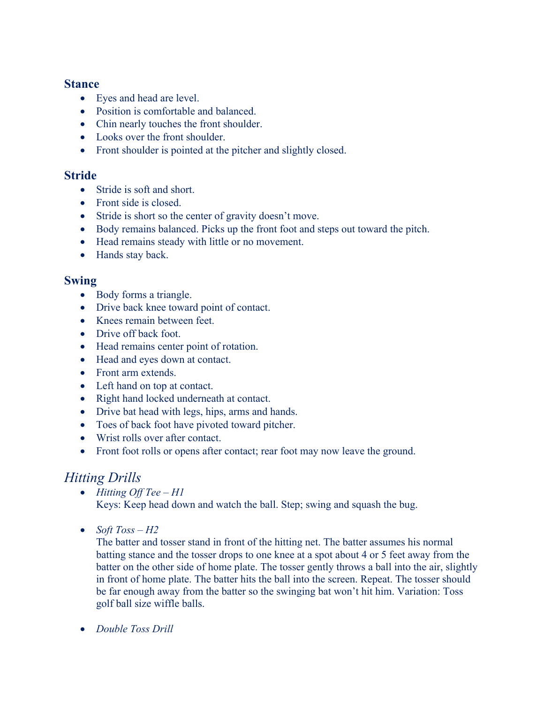#### **Stance**

- Eyes and head are level.
- Position is comfortable and balanced.
- Chin nearly touches the front shoulder.
- Looks over the front shoulder.
- Front shoulder is pointed at the pitcher and slightly closed.

#### **Stride**

- Stride is soft and short.
- Front side is closed.
- Stride is short so the center of gravity doesn't move.
- Body remains balanced. Picks up the front foot and steps out toward the pitch.
- Head remains steady with little or no movement.
- Hands stay back.

#### **Swing**

- Body forms a triangle.
- Drive back knee toward point of contact.
- Knees remain between feet.
- Drive off back foot.
- Head remains center point of rotation.
- Head and eyes down at contact.
- Front arm extends.
- Left hand on top at contact.
- Right hand locked underneath at contact.
- Drive bat head with legs, hips, arms and hands.
- Toes of back foot have pivoted toward pitcher.
- Wrist rolls over after contact.
- Front foot rolls or opens after contact; rear foot may now leave the ground.

# *Hitting Drills*

- *Hitting Off Tee – H1* Keys: Keep head down and watch the ball. Step; swing and squash the bug.
- *Soft Toss – H2*

The batter and tosser stand in front of the hitting net. The batter assumes his normal batting stance and the tosser drops to one knee at a spot about 4 or 5 feet away from the batter on the other side of home plate. The tosser gently throws a ball into the air, slightly in front of home plate. The batter hits the ball into the screen. Repeat. The tosser should be far enough away from the batter so the swinging bat won't hit him. Variation: Toss golf ball size wiffle balls.

• *Double Toss Drill*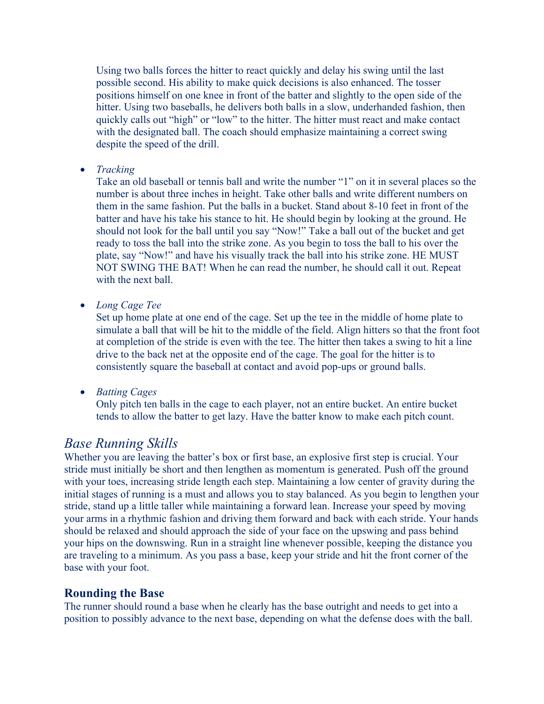Using two balls forces the hitter to react quickly and delay his swing until the last possible second. His ability to make quick decisions is also enhanced. The tosser positions himself on one knee in front of the batter and slightly to the open side of the hitter. Using two baseballs, he delivers both balls in a slow, underhanded fashion, then quickly calls out "high" or "low" to the hitter. The hitter must react and make contact with the designated ball. The coach should emphasize maintaining a correct swing despite the speed of the drill.

• *Tracking*

Take an old baseball or tennis ball and write the number "1" on it in several places so the number is about three inches in height. Take other balls and write different numbers on them in the same fashion. Put the balls in a bucket. Stand about 8-10 feet in front of the batter and have his take his stance to hit. He should begin by looking at the ground. He should not look for the ball until you say "Now!" Take a ball out of the bucket and get ready to toss the ball into the strike zone. As you begin to toss the ball to his over the plate, say "Now!" and have his visually track the ball into his strike zone. HE MUST NOT SWING THE BAT! When he can read the number, he should call it out. Repeat with the next ball.

• *Long Cage Tee*

Set up home plate at one end of the cage. Set up the tee in the middle of home plate to simulate a ball that will be hit to the middle of the field. Align hitters so that the front foot at completion of the stride is even with the tee. The hitter then takes a swing to hit a line drive to the back net at the opposite end of the cage. The goal for the hitter is to consistently square the baseball at contact and avoid pop-ups or ground balls.

• *Batting Cages*

Only pitch ten balls in the cage to each player, not an entire bucket. An entire bucket tends to allow the batter to get lazy. Have the batter know to make each pitch count.

#### *Base Running Skills*

Whether you are leaving the batter's box or first base, an explosive first step is crucial. Your stride must initially be short and then lengthen as momentum is generated. Push off the ground with your toes, increasing stride length each step. Maintaining a low center of gravity during the initial stages of running is a must and allows you to stay balanced. As you begin to lengthen your stride, stand up a little taller while maintaining a forward lean. Increase your speed by moving your arms in a rhythmic fashion and driving them forward and back with each stride. Your hands should be relaxed and should approach the side of your face on the upswing and pass behind your hips on the downswing. Run in a straight line whenever possible, keeping the distance you are traveling to a minimum. As you pass a base, keep your stride and hit the front corner of the base with your foot.

#### **Rounding the Base**

The runner should round a base when he clearly has the base outright and needs to get into a position to possibly advance to the next base, depending on what the defense does with the ball.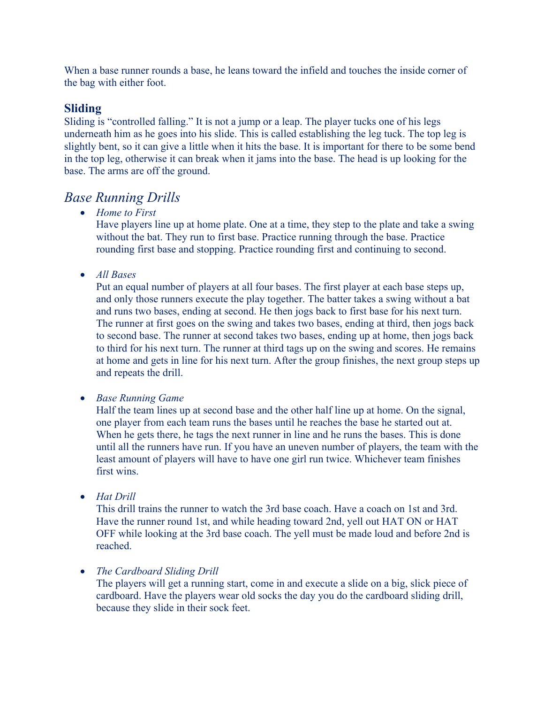When a base runner rounds a base, he leans toward the infield and touches the inside corner of the bag with either foot.

#### **Sliding**

Sliding is "controlled falling." It is not a jump or a leap. The player tucks one of his legs underneath him as he goes into his slide. This is called establishing the leg tuck. The top leg is slightly bent, so it can give a little when it hits the base. It is important for there to be some bend in the top leg, otherwise it can break when it jams into the base. The head is up looking for the base. The arms are off the ground.

### *Base Running Drills*

• *Home to First*

Have players line up at home plate. One at a time, they step to the plate and take a swing without the bat. They run to first base. Practice running through the base. Practice rounding first base and stopping. Practice rounding first and continuing to second.

• *All Bases*

Put an equal number of players at all four bases. The first player at each base steps up, and only those runners execute the play together. The batter takes a swing without a bat and runs two bases, ending at second. He then jogs back to first base for his next turn. The runner at first goes on the swing and takes two bases, ending at third, then jogs back to second base. The runner at second takes two bases, ending up at home, then jogs back to third for his next turn. The runner at third tags up on the swing and scores. He remains at home and gets in line for his next turn. After the group finishes, the next group steps up and repeats the drill.

• *Base Running Game*

Half the team lines up at second base and the other half line up at home. On the signal, one player from each team runs the bases until he reaches the base he started out at. When he gets there, he tags the next runner in line and he runs the bases. This is done until all the runners have run. If you have an uneven number of players, the team with the least amount of players will have to have one girl run twice. Whichever team finishes first wins.

• *Hat Drill*

This drill trains the runner to watch the 3rd base coach. Have a coach on 1st and 3rd. Have the runner round 1st, and while heading toward 2nd, yell out HAT ON or HAT OFF while looking at the 3rd base coach. The yell must be made loud and before 2nd is reached.

• *The Cardboard Sliding Drill*

The players will get a running start, come in and execute a slide on a big, slick piece of cardboard. Have the players wear old socks the day you do the cardboard sliding drill, because they slide in their sock feet.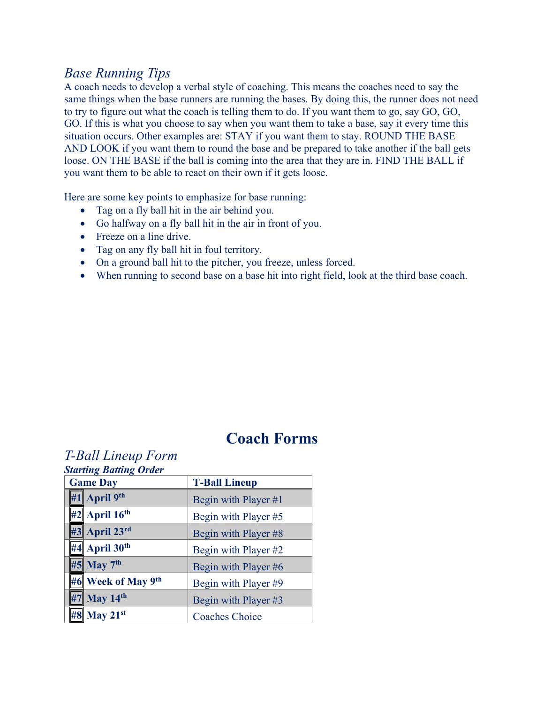# *Base Running Tips*

A coach needs to develop a verbal style of coaching. This means the coaches need to say the same things when the base runners are running the bases. By doing this, the runner does not need to try to figure out what the coach is telling them to do. If you want them to go, say GO, GO, GO. If this is what you choose to say when you want them to take a base, say it every time this situation occurs. Other examples are: STAY if you want them to stay. ROUND THE BASE AND LOOK if you want them to round the base and be prepared to take another if the ball gets loose. ON THE BASE if the ball is coming into the area that they are in. FIND THE BALL if you want them to be able to react on their own if it gets loose.

Here are some key points to emphasize for base running:

- Tag on a fly ball hit in the air behind you.
- Go halfway on a fly ball hit in the air in front of you.
- Freeze on a line drive.
- Tag on any fly ball hit in foul territory.
- On a ground ball hit to the pitcher, you freeze, unless forced.
- When running to second base on a base hit into right field, look at the third base coach.

# **Coach Forms**

# *T-Ball Lineup Form*

| <b>Starting Batting Order</b>  |                       |  |  |  |  |
|--------------------------------|-----------------------|--|--|--|--|
| <b>Game Day</b>                | <b>T-Ball Lineup</b>  |  |  |  |  |
| #1 April $9th$                 | Begin with Player #1  |  |  |  |  |
| $#2$ April 16 <sup>th</sup>    | Begin with Player #5  |  |  |  |  |
| #3 April 23rd                  | Begin with Player #8  |  |  |  |  |
| $  44 $ April 30 <sup>th</sup> | Begin with Player #2  |  |  |  |  |
| $#5$ May $7th$                 | Begin with Player #6  |  |  |  |  |
| #6 Week of May 9th             | Begin with Player #9  |  |  |  |  |
| #7 May 14th                    | Begin with Player #3  |  |  |  |  |
| #8 May 21st                    | <b>Coaches Choice</b> |  |  |  |  |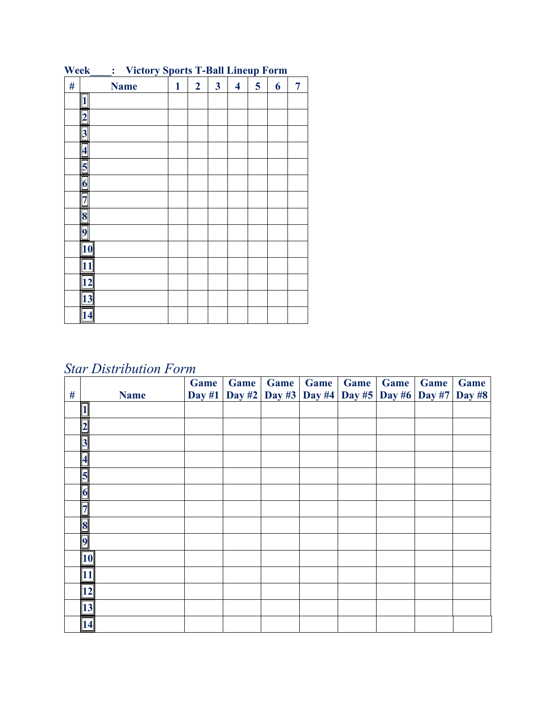| $\#$ | <b>Name</b>             | $\mathbf{1}$ | $\overline{2}$ | $\overline{\mathbf{3}}$ | $\overline{\mathbf{4}}$ | $5\overline{)}$ | 6 | $\overline{7}$ |
|------|-------------------------|--------------|----------------|-------------------------|-------------------------|-----------------|---|----------------|
|      |                         |              |                |                         |                         |                 |   |                |
|      |                         |              |                |                         |                         |                 |   |                |
|      | 3                       |              |                |                         |                         |                 |   |                |
|      |                         |              |                |                         |                         |                 |   |                |
|      |                         |              |                |                         |                         |                 |   |                |
|      | $\overline{\mathbf{6}}$ |              |                |                         |                         |                 |   |                |
|      |                         |              |                |                         |                         |                 |   |                |
|      | 8                       |              |                |                         |                         |                 |   |                |
|      | r                       |              |                |                         |                         |                 |   |                |
|      | 10                      |              |                |                         |                         |                 |   |                |
|      | 11                      |              |                |                         |                         |                 |   |                |
|      | 12                      |              |                |                         |                         |                 |   |                |
|      | 13                      |              |                |                         |                         |                 |   |                |
|      | 14                      |              |                |                         |                         |                 |   |                |

**Week\_\_\_\_: Victory Sports T-Ball Lineup Form**

# *Star Distribution Form*

| $\#$ | <b>Name</b>             | Game<br>Day $#1$ | Game<br><b>Day #2</b> | Game<br>Day #3 | <b>Game</b> | <b>Game</b> | Game<br>Day #4 Day #5 Day #6 | Game<br><b>Day #7</b> | Game<br><b>Day #8</b> |
|------|-------------------------|------------------|-----------------------|----------------|-------------|-------------|------------------------------|-----------------------|-----------------------|
|      |                         |                  |                       |                |             |             |                              |                       |                       |
|      | $\overline{2}$          |                  |                       |                |             |             |                              |                       |                       |
|      | $\overline{\mathbf{3}}$ |                  |                       |                |             |             |                              |                       |                       |
|      | $\overline{\mathbf{4}}$ |                  |                       |                |             |             |                              |                       |                       |
|      | 5                       |                  |                       |                |             |             |                              |                       |                       |
|      | $\boldsymbol{\theta}$   |                  |                       |                |             |             |                              |                       |                       |
|      |                         |                  |                       |                |             |             |                              |                       |                       |
|      | 8                       |                  |                       |                |             |             |                              |                       |                       |
|      |                         |                  |                       |                |             |             |                              |                       |                       |
|      | 10                      |                  |                       |                |             |             |                              |                       |                       |
|      | 11                      |                  |                       |                |             |             |                              |                       |                       |
|      | 12                      |                  |                       |                |             |             |                              |                       |                       |
|      | 13                      |                  |                       |                |             |             |                              |                       |                       |
|      | 14                      |                  |                       |                |             |             |                              |                       |                       |